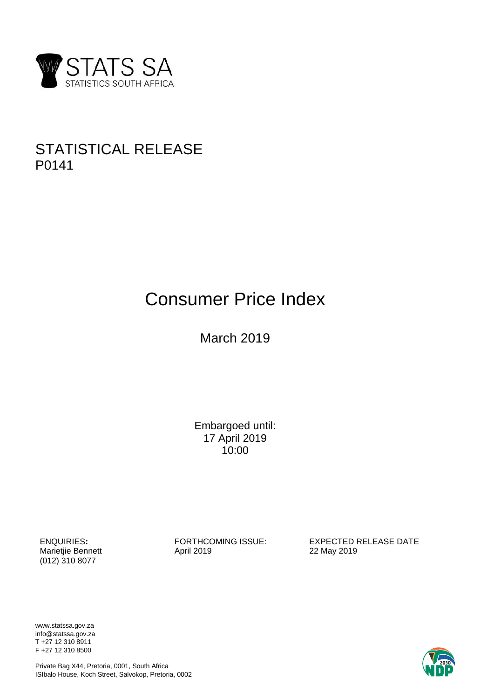

# STATISTICAL RELEASE P0141

# Consumer Price Index

March 2019

Embargoed until: 17 April 2019 10:00

Marietjie Bennett (012) 310 8077

ENQUIRIES:<br>
Marietjie Bennett<br>
April 2019<br>
April 2019<br>
22 May 2019

www.statssa.gov.za info@statssa.gov.za T +27 12 310 8911 F +27 12 310 8500

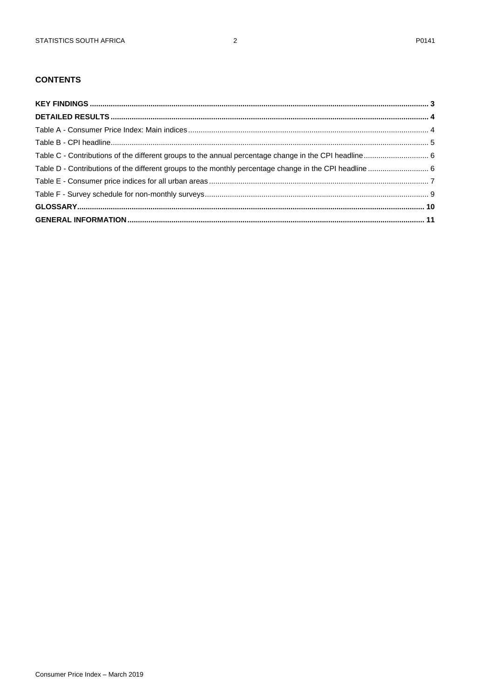# **CONTENTS**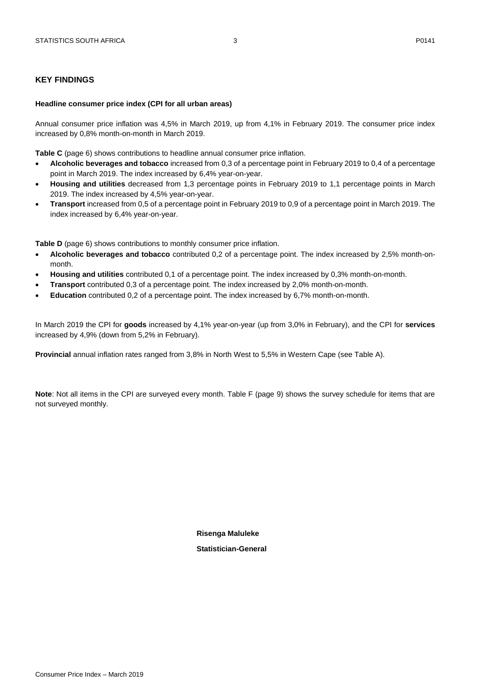#### <span id="page-2-0"></span>**KEY FINDINGS**

#### **Headline consumer price index (CPI for all urban areas)**

Annual consumer price inflation was 4,5% in March 2019, up from 4,1% in February 2019. The consumer price index increased by 0,8% month-on-month in March 2019.

**Table C** (page 6) shows contributions to headline annual consumer price inflation.

- **Alcoholic beverages and tobacco** increased from 0,3 of a percentage point in February 2019 to 0,4 of a percentage point in March 2019. The index increased by 6,4% year-on-year.
- **Housing and utilities** decreased from 1,3 percentage points in February 2019 to 1,1 percentage points in March 2019. The index increased by 4,5% year-on-year.
- **Transport** increased from 0,5 of a percentage point in February 2019 to 0,9 of a percentage point in March 2019. The index increased by 6,4% year-on-year.

**Table D** (page 6) shows contributions to monthly consumer price inflation.

- **Alcoholic beverages and tobacco** contributed 0,2 of a percentage point. The index increased by 2,5% month-onmonth.
- **Housing and utilities** contributed 0,1 of a percentage point. The index increased by 0,3% month-on-month.
- **Transport** contributed 0,3 of a percentage point. The index increased by 2,0% month-on-month.
- **Education** contributed 0,2 of a percentage point. The index increased by 6,7% month-on-month.

In March 2019 the CPI for **goods** increased by 4,1% year-on-year (up from 3,0% in February), and the CPI for **services** increased by 4,9% (down from 5,2% in February).

**Provincial** annual inflation rates ranged from 3,8% in North West to 5,5% in Western Cape (see Table A).

**Note**: Not all items in the CPI are surveyed every month. Table F (page 9) shows the survey schedule for items that are not surveyed monthly.

> **Risenga Maluleke Statistician-General**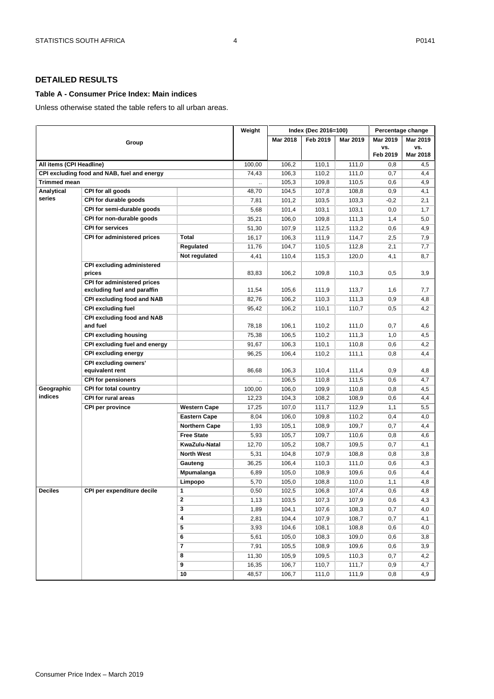#### <span id="page-3-1"></span><span id="page-3-0"></span>**Table A - Consumer Price Index: Main indices**

Unless otherwise stated the table refers to all urban areas.

|                          |                                                            |                      | Weight |          | Index (Dec 2016=100) |          |          | Percentage change |
|--------------------------|------------------------------------------------------------|----------------------|--------|----------|----------------------|----------|----------|-------------------|
|                          | Group                                                      |                      |        | Mar 2018 | Feb 2019             | Mar 2019 | Mar 2019 | Mar 2019          |
|                          |                                                            |                      |        |          |                      |          | VS.      | VS.               |
|                          |                                                            |                      |        |          |                      |          | Feb 2019 | Mar 2018          |
| All items (CPI Headline) |                                                            |                      | 100,00 | 106,2    | 110,1                | 111,0    | 0,8      | 4,5               |
|                          | CPI excluding food and NAB, fuel and energy                |                      | 74,43  | 106,3    | 110,2                | 111,0    | 0,7      | 4,4               |
| Trimmed mean             |                                                            |                      |        | 105,3    | 109,8                | 110,5    | 0,6      | 4,9               |
| Analytical               | CPI for all goods                                          |                      | 48,70  | 104,5    | 107,8                | 108,8    | 0,9      | 4,1               |
| series                   | CPI for durable goods                                      |                      | 7,81   | 101,2    | 103,5                | 103,3    | $-0,2$   | 2,1               |
|                          | CPI for semi-durable goods                                 |                      | 5,68   | 101,4    | 103,1                | 103,1    | 0,0      | 1,7               |
|                          | CPI for non-durable goods                                  |                      | 35,21  | 106,0    | 109,8                | 111,3    | 1,4      | 5,0               |
|                          | <b>CPI for services</b>                                    |                      | 51,30  | 107,9    | 112,5                | 113,2    | 0,6      | 4,9               |
|                          | CPI for administered prices                                | <b>Total</b>         | 16,17  | 106,3    | 111,9                | 114,7    | 2,5      | 7,9               |
|                          |                                                            | Regulated            | 11,76  | 104,7    | 110,5                | 112,8    | 2,1      | 7,7               |
|                          |                                                            | Not regulated        | 4,41   | 110,4    | 115,3                | 120,0    | 4,1      | 8,7               |
|                          | <b>CPI excluding administered</b><br>prices                |                      | 83,83  | 106,2    | 109,8                | 110,3    | 0,5      | 3,9               |
|                          | CPI for administered prices<br>excluding fuel and paraffin |                      | 11,54  | 105,6    | 111,9                | 113,7    | 1,6      | 7,7               |
|                          | CPI excluding food and NAB                                 |                      | 82,76  | 106,2    | 110,3                | 111,3    | 0,9      | 4,8               |
|                          | <b>CPI excluding fuel</b>                                  |                      | 95,42  | 106,2    | 110,1                | 110,7    | 0,5      | 4,2               |
|                          | <b>CPI excluding food and NAB</b><br>and fuel              |                      | 78,18  | 106,1    | 110,2                | 111,0    | 0,7      | 4,6               |
|                          | <b>CPI excluding housing</b>                               |                      | 75,38  | 106,5    | 110,2                | 111,3    | 1,0      | 4,5               |
|                          | CPI excluding fuel and energy                              |                      | 91,67  | 106,3    | 110,1                | 110,8    | 0,6      | 4,2               |
|                          | <b>CPI excluding energy</b>                                |                      | 96,25  | 106,4    | 110,2                | 111,1    | 0,8      | 4,4               |
|                          | <b>CPI excluding owners'</b>                               |                      |        |          |                      |          |          |                   |
|                          | equivalent rent                                            |                      | 86,68  | 106,3    | 110,4                | 111,4    | 0,9      | 4,8               |
|                          | <b>CPI for pensioners</b>                                  |                      |        | 106,5    | 110,8                | 111,5    | 0,6      | 4,7               |
| Geographic               | <b>CPI for total country</b>                               |                      | 100,00 | 106,0    | 109,9                | 110,8    | 0,8      | 4,5               |
| indices                  | CPI for rural areas                                        |                      | 12,23  | 104,3    | 108,2                | 108,9    | 0,6      | 4,4               |
|                          | <b>CPI per province</b>                                    | <b>Western Cape</b>  | 17,25  | 107,0    | 111,7                | 112,9    | 1,1      | 5,5               |
|                          |                                                            | <b>Eastern Cape</b>  | 8,04   | 106,0    | 109,8                | 110,2    | 0,4      | 4,0               |
|                          |                                                            | <b>Northern Cape</b> | 1,93   | 105,1    | 108,9                | 109,7    | 0,7      | 4,4               |
|                          |                                                            | <b>Free State</b>    | 5,93   | 105,7    | 109,7                | 110,6    | 0,8      | 4,6               |
|                          |                                                            | KwaZulu-Natal        | 12,70  | 105,2    | 108,7                | 109,5    | 0,7      | 4,1               |
|                          |                                                            | <b>North West</b>    | 5,31   | 104,8    | 107,9                | 108,8    | 0,8      | 3,8               |
|                          |                                                            | Gauteng              | 36,25  | 106,4    | 110,3                | 111,0    | 0,6      | 4,3               |
|                          |                                                            | Mpumalanga           | 6,89   | 105,0    | 108,9                | 109,6    | 0,6      | 4,4               |
|                          |                                                            | Limpopo              | 5,70   | 105,0    | 108,8                | 110,0    | 1,1      | 4,8               |
| <b>Deciles</b>           | CPI per expenditure decile                                 | 1                    | 0,50   | 102,5    | 106,8                | 107,4    | 0,6      | 4,8               |
|                          |                                                            | 2                    | 1,13   | 103,5    | 107,3                | 107,9    | 0,6      | 4,3               |
|                          |                                                            | 3                    | 1,89   | 104,1    | 107,6                | 108,3    | 0,7      | 4,0               |
|                          |                                                            | 4                    | 2,81   | 104,4    | 107,9                | 108,7    | 0,7      | 4,1               |
|                          |                                                            | 5                    | 3,93   | 104,6    | 108,1                | 108,8    | 0,6      | 4,0               |
|                          |                                                            | 6                    | 5,61   | 105,0    | 108,3                | 109,0    | 0,6      | 3,8               |
|                          |                                                            | 7                    | 7,91   | 105,5    | 108,9                | 109,6    | 0,6      | 3,9               |
|                          |                                                            | 8                    | 11,30  | 105,9    | 109,5                | 110,3    | 0,7      | 4,2               |
|                          |                                                            | 9                    | 16,35  | 106,7    | 110,7                | 111,7    | 0,9      | 4,7               |
|                          |                                                            | 10                   | 48,57  | 106,7    | 111,0                | 111,9    | 0,8      | 4,9               |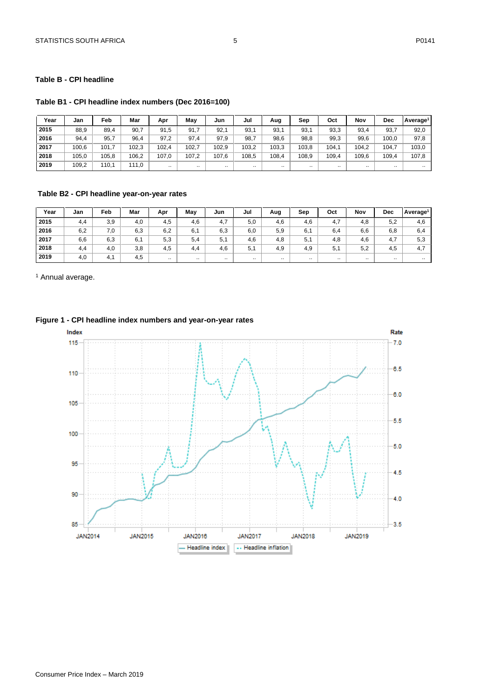#### <span id="page-4-0"></span>**Table B - CPI headline**

**Table B1 - CPI headline index numbers (Dec 2016=100)**

| Year | Jan   | Feb   | Mar   | Apr      | Mav   | Jun   | Jul      | Aug       | Sep   | Oct   | Nov      | <b>Dec</b> | Average <sup>1</sup> |
|------|-------|-------|-------|----------|-------|-------|----------|-----------|-------|-------|----------|------------|----------------------|
| 2015 | 88,9  | 89,4  | 90,7  | 91.5     | 91,7  | 92.   | 93,1     | 93,1      | 93.7  | 93,3  | 93,4     | 93,7       | 92,0                 |
| 2016 | 94,4  | 95,7  | 96,4  | 97,2     | 97.4  | 97,9  | 98,7     | 98,6      | 98,8  | 99,3  | 99,6     | 100,0      | 97,8                 |
| 2017 | 100.6 | 101,7 | 102,3 | 102,4    | 102,7 | 102,9 | 103,2    | 103,3     | 103,8 | 104.1 | 104,2    | 104,7      | 103,0                |
| 2018 | 105,0 | 105,8 | 106,2 | 107.0    | 107,2 | 107,6 | 108,5    | 108,4     | 108,9 | 109.4 | 109,6    | 109,4      | 107,8                |
| 2019 | 109,2 | 110.1 | 111.0 | $\cdots$ |       |       | $\cdots$ | $\cdot$ . |       |       | $\cdots$ |            | $\cdot$ .            |

#### **Table B2 - CPI headline year-on-year rates**

| Year | Jan | Feb | Mar | Apr      | May      | Jun      | Jul      | Aug      | Sep      | Oct       | Nov       | <b>Dec</b> | Average <sup>1</sup> |
|------|-----|-----|-----|----------|----------|----------|----------|----------|----------|-----------|-----------|------------|----------------------|
| 2015 | 4,4 | 3,9 | 4,0 | 4,5      | 4,6      | 4,7      | 5,0      | 4,6      | 4,6      | 4,7       | 4,8       | 5,2        | 4,6                  |
| 2016 | 6,2 | 7,0 | 6,3 | 6,2      | 6,1      | 6,3      | 6,0      | 5,9      | 6,1      | 6,4       | 6,6       | 6,8        | 6,4                  |
| 2017 | 6,6 | 6,3 | 6,1 | 5,3      | 5,4      | 5,1      | 4,6      | 4,8      | 5,1      | 4,8       | 4,6       | 4,7        | 5,3                  |
| 2018 | 4,4 | 4,0 | 3,8 | 4,5      | 4.4      | 4,6      | 5,1      | 4,9      | 4,9      | 5.1       | 5,2       | 4,5        | 4,7                  |
| 2019 | 4,0 | 4.1 | 4,5 | $\cdots$ | $\cdots$ | $\cdots$ | $\cdots$ | $\cdots$ | $\cdots$ | $\cdot$ . | $\cdot$ . | $\cdots$   | $\cdots$             |

<sup>1</sup> Annual average.

#### **Figure 1 - CPI headline index numbers and year-on-year rates**

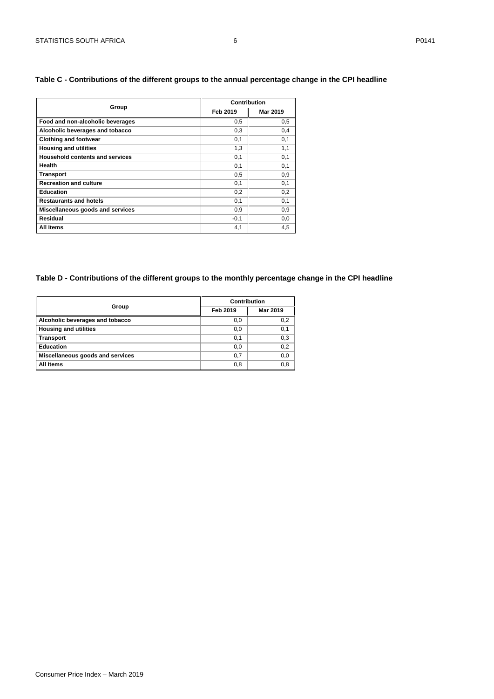#### <span id="page-5-0"></span>**Table C - Contributions of the different groups to the annual percentage change in the CPI headline**

|                                        | Contribution |          |  |  |  |
|----------------------------------------|--------------|----------|--|--|--|
| Group                                  | Feb 2019     | Mar 2019 |  |  |  |
| Food and non-alcoholic beverages       | 0,5          | 0,5      |  |  |  |
| Alcoholic beverages and tobacco        | 0,3          | 0,4      |  |  |  |
| <b>Clothing and footwear</b>           | 0,1          | 0,1      |  |  |  |
| <b>Housing and utilities</b>           | 1,3          | 1,1      |  |  |  |
| <b>Household contents and services</b> | 0,1          | 0,1      |  |  |  |
| Health                                 | 0,1          | 0,1      |  |  |  |
| <b>Transport</b>                       | 0,5          | 0,9      |  |  |  |
| <b>Recreation and culture</b>          | 0,1          | 0,1      |  |  |  |
| <b>Education</b>                       | 0,2          | 0,2      |  |  |  |
| <b>Restaurants and hotels</b>          | 0,1          | 0,1      |  |  |  |
| Miscellaneous goods and services       | 0,9          | 0,9      |  |  |  |
| Residual                               | $-0,1$       | 0,0      |  |  |  |
| All Items                              | 4,1          | 4,5      |  |  |  |

#### <span id="page-5-1"></span>**Table D - Contributions of the different groups to the monthly percentage change in the CPI headline**

|                                  | Contribution |          |  |  |
|----------------------------------|--------------|----------|--|--|
| Group                            | Feb 2019     | Mar 2019 |  |  |
| Alcoholic beverages and tobacco  | 0,0          | 0,2      |  |  |
| <b>Housing and utilities</b>     | 0,0          | 0,1      |  |  |
| <b>Transport</b>                 | 0,1          | 0,3      |  |  |
| <b>Education</b>                 | 0,0          | 0,2      |  |  |
| Miscellaneous goods and services | 0,7          | 0,0      |  |  |
| All Items                        | 0,8          | 0,8      |  |  |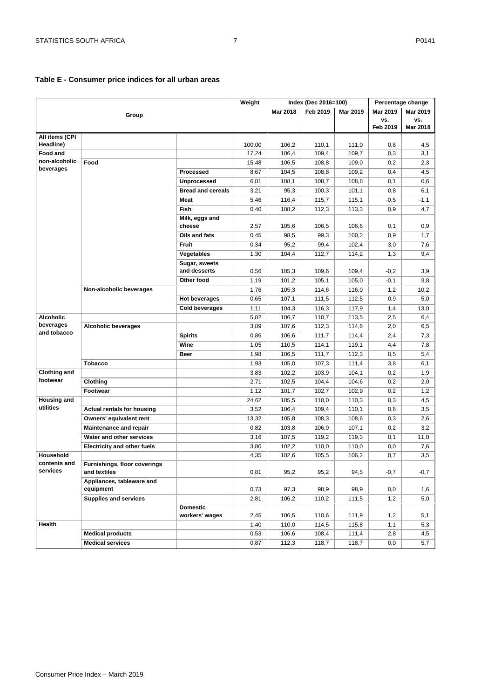#### <span id="page-6-0"></span>**Table E - Consumer price indices for all urban areas**

|                          |                                              |                          | Weight |          | Index (Dec 2016=100) |          |          | Percentage change |
|--------------------------|----------------------------------------------|--------------------------|--------|----------|----------------------|----------|----------|-------------------|
|                          |                                              |                          |        | Mar 2018 | Feb 2019             | Mar 2019 | Mar 2019 | Mar 2019          |
|                          | Group                                        |                          |        |          |                      |          | VS.      | VS.               |
|                          |                                              |                          |        |          |                      |          | Feb 2019 | Mar 2018          |
| All items (CPI           |                                              |                          |        |          |                      |          |          |                   |
| Headline)<br>Food and    |                                              |                          | 100,00 | 106,2    | 110,1                | 111,0    | 0,8      | 4,5               |
| non-alcoholic            |                                              |                          | 17,24  | 106,4    | 109,4                | 109,7    | 0,3      | 3,1               |
| beverages                | Food                                         |                          | 15,48  | 106,5    | 108,8                | 109,0    | 0,2      | 2,3               |
|                          |                                              | Processed                | 8,67   | 104,5    | 108,8                | 109,2    | 0,4      | 4,5               |
|                          |                                              | <b>Unprocessed</b>       | 6,81   | 108,1    | 108,7                | 108,8    | 0,1      | 0,6               |
|                          |                                              | <b>Bread and cereals</b> | 3,21   | 95,3     | 100,3                | 101,1    | 0,8      | 6,1               |
|                          |                                              | <b>Meat</b>              | 5,46   | 116,4    | 115,7                | 115,1    | $-0,5$   | $-1,1$            |
|                          |                                              | Fish                     | 0,40   | 108,2    | 112,3                | 113,3    | 0,9      | 4,7               |
|                          |                                              | Milk, eggs and<br>cheese | 2,57   | 105,6    | 106,5                | 106,6    | 0,1      | 0,9               |
|                          |                                              | Oils and fats            | 0,45   | 98,5     | 99,3                 | 100,2    | 0,9      | 1,7               |
|                          |                                              | Fruit                    | 0,34   | 95,2     | 99,4                 | 102,4    | 3,0      | 7,6               |
|                          |                                              | Vegetables               | 1,30   | 104,4    | 112,7                | 114,2    | 1,3      | 9,4               |
|                          |                                              | Sugar, sweets            |        |          |                      |          |          |                   |
|                          |                                              | and desserts             | 0,56   | 105,3    | 109,6                | 109,4    | $-0,2$   | 3,9               |
|                          |                                              | Other food               | 1,19   | 101,2    | 105,1                | 105,0    | $-0,1$   | 3,8               |
|                          | Non-alcoholic beverages                      |                          | 1,76   | 105,3    | 114,6                | 116,0    | 1,2      | 10,2              |
|                          |                                              | <b>Hot beverages</b>     | 0,65   | 107,1    | 111,5                | 112,5    | 0,9      | 5,0               |
|                          |                                              | <b>Cold beverages</b>    | 1,11   | 104,3    | 116,3                | 117,9    | 1,4      | 13,0              |
| <b>Alcoholic</b>         |                                              |                          | 5,82   | 106,7    | 110,7                | 113,5    | 2,5      | 6,4               |
| beverages                | <b>Alcoholic beverages</b>                   |                          | 3,89   | 107,6    | 112,3                | 114,6    | 2,0      | 6,5               |
| and tobacco              |                                              | <b>Spirits</b>           | 0,86   | 106,6    | 111,7                | 114,4    | 2,4      | 7,3               |
|                          |                                              | Wine                     | 1,05   | 110,5    | 114,1                | 119,1    | 4,4      | 7,8               |
|                          |                                              | Beer                     | 1,98   | 106,5    | 111,7                | 112,3    | 0,5      | 5,4               |
|                          | <b>Tobacco</b>                               |                          | 1,93   | 105,0    | 107,3                | 111,4    | 3,8      | 6,1               |
| <b>Clothing and</b>      |                                              |                          | 3,83   | 102,2    | 103,9                | 104,1    | 0,2      | 1,9               |
| footwear                 | Clothing                                     |                          | 2,71   | 102,5    | 104,4                | 104,6    | 0,2      | 2,0               |
|                          | Footwear                                     |                          | 1,12   | 101,7    | 102,7                | 102,9    | 0,2      | 1,2               |
| <b>Housing and</b>       |                                              |                          | 24,62  | 105,5    | 110,0                | 110,3    | 0,3      | 4,5               |
| utilities                | <b>Actual rentals for housing</b>            |                          | 3,52   | 106,4    | 109,4                | 110,1    | 0,6      | 3,5               |
|                          | Owners' equivalent rent                      |                          | 13,32  | 105,8    | 108,3                | 108,6    | 0,3      | 2,6               |
|                          | <b>Maintenance and repair</b>                |                          | 0,82   | 103,8    | 106,9                | 107,1    | 0,2      | 3,2               |
|                          | Water and other services                     |                          | 3,16   | 107,5    | 119,2                | 119,3    | 0,1      | 11,0              |
|                          | <b>Electricity and other fuels</b>           |                          | 3,80   | 102,2    | 110,0                | 110,0    | 0,0      | 7,6               |
| Household                |                                              |                          | 4,35   | 102,6    | 105,5                | 106,2    | 0,7      | 3,5               |
| contents and<br>services | Furnishings, floor coverings<br>and textiles |                          | 0,81   | 95,2     | 95,2                 | 94,5     | $-0,7$   | $-0,7$            |
|                          | Appliances, tableware and                    |                          |        |          |                      |          |          |                   |
|                          | equipment                                    |                          | 0,73   | 97,3     | 98,9                 | 98,9     | 0,0      | 1,6               |
|                          | <b>Supplies and services</b>                 |                          | 2,81   | 106,2    | 110,2                | 111,5    | 1,2      | 5,0               |
|                          |                                              | <b>Domestic</b>          |        |          |                      |          |          |                   |
| Health                   |                                              | workers' wages           | 2,45   | 106,5    | 110,6                | 111,9    | 1,2      | 5,1               |
|                          |                                              |                          | 1,40   | 110,0    | 114,5                | 115,8    | 1,1      | 5,3               |
|                          | <b>Medical products</b>                      |                          | 0,53   | 106,6    | 108,4                | 111,4    | 2,8      | 4,5               |
|                          | <b>Medical services</b>                      |                          | 0,87   | 112,3    | 118,7                | 118,7    | 0,0      | 5,7               |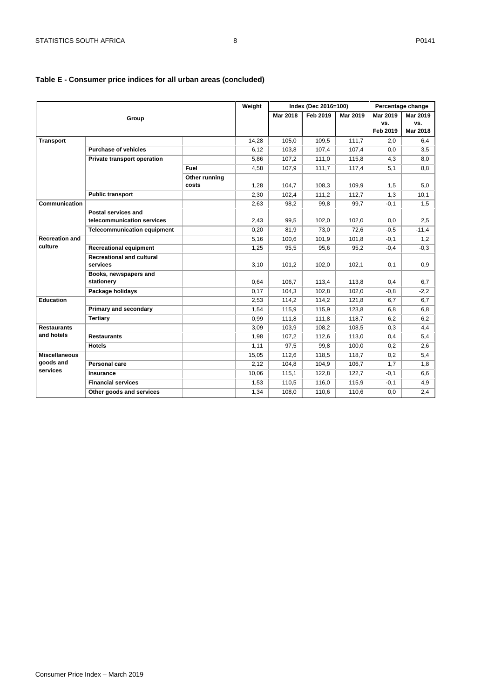## **Table E - Consumer price indices for all urban areas (concluded)**

|                       |                                    |               | Weight |          | Index (Dec 2016=100) |          |          | Percentage change |
|-----------------------|------------------------------------|---------------|--------|----------|----------------------|----------|----------|-------------------|
|                       | Group                              |               |        | Mar 2018 | Feb 2019             | Mar 2019 | Mar 2019 | Mar 2019          |
|                       |                                    |               |        |          |                      |          | VS.      | VS.               |
|                       |                                    |               |        |          |                      |          | Feb 2019 | Mar 2018          |
| <b>Transport</b>      |                                    |               | 14,28  | 105,0    | 109,5                | 111,7    | 2,0      | 6,4               |
|                       | <b>Purchase of vehicles</b>        |               | 6,12   | 103,8    | 107,4                | 107,4    | 0,0      | 3,5               |
|                       | <b>Private transport operation</b> |               | 5,86   | 107,2    | 111,0                | 115,8    | 4,3      | 8,0               |
|                       |                                    | Fuel          | 4,58   | 107,9    | 111,7                | 117,4    | 5,1      | 8,8               |
|                       |                                    | Other running |        |          |                      |          |          |                   |
|                       |                                    | costs         | 1,28   | 104,7    | 108,3                | 109,9    | 1,5      | 5,0               |
|                       | <b>Public transport</b>            |               | 2,30   | 102,4    | 111,2                | 112,7    | 1,3      | 10,1              |
| Communication         |                                    |               | 2,63   | 98,2     | 99,8                 | 99,7     | $-0,1$   | 1,5               |
|                       | Postal services and                |               |        |          |                      |          |          |                   |
|                       | telecommunication services         |               | 2,43   | 99,5     | 102,0                | 102,0    | 0,0      | 2,5               |
|                       | <b>Telecommunication equipment</b> |               | 0,20   | 81,9     | 73,0                 | 72,6     | $-0,5$   | $-11,4$           |
| <b>Recreation and</b> |                                    |               | 5,16   | 100,6    | 101,9                | 101,8    | $-0,1$   | 1,2               |
| culture               | <b>Recreational equipment</b>      |               | 1,25   | 95,5     | 95,6                 | 95,2     | $-0,4$   | $-0,3$            |
|                       | <b>Recreational and cultural</b>   |               |        |          |                      |          |          |                   |
|                       | services                           |               | 3,10   | 101,2    | 102,0                | 102,1    | 0,1      | 0,9               |
|                       | Books, newspapers and              |               |        |          |                      |          |          |                   |
|                       | stationery                         |               | 0,64   | 106,7    | 113,4                | 113,8    | 0,4      | 6,7               |
|                       | Package holidays                   |               | 0,17   | 104,3    | 102,8                | 102,0    | $-0.8$   | $-2,2$            |
| <b>Education</b>      |                                    |               | 2,53   | 114,2    | 114,2                | 121,8    | 6,7      | 6,7               |
|                       | Primary and secondary              |               | 1,54   | 115,9    | 115,9                | 123,8    | 6,8      | 6,8               |
|                       | <b>Tertiary</b>                    |               | 0,99   | 111,8    | 111.8                | 118.7    | 6,2      | 6,2               |
| <b>Restaurants</b>    |                                    |               | 3,09   | 103,9    | 108,2                | 108,5    | 0,3      | 4,4               |
| and hotels            | <b>Restaurants</b>                 |               | 1,98   | 107,2    | 112,6                | 113,0    | 0,4      | 5,4               |
|                       | <b>Hotels</b>                      |               | 1,11   | 97,5     | 99.8                 | 100,0    | 0,2      | 2,6               |
| <b>Miscellaneous</b>  |                                    |               | 15,05  | 112,6    | 118,5                | 118,7    | 0,2      | 5,4               |
| goods and             | Personal care                      |               | 2,12   | 104,8    | 104,9                | 106,7    | 1,7      | 1,8               |
| services              | Insurance                          |               | 10,06  | 115,1    | 122,8                | 122,7    | $-0,1$   | 6,6               |
|                       | <b>Financial services</b>          |               | 1,53   | 110,5    | 116,0                | 115,9    | $-0,1$   | 4,9               |
|                       | Other goods and services           |               | 1,34   | 108.0    | 110.6                | 110.6    | 0.0      | 2,4               |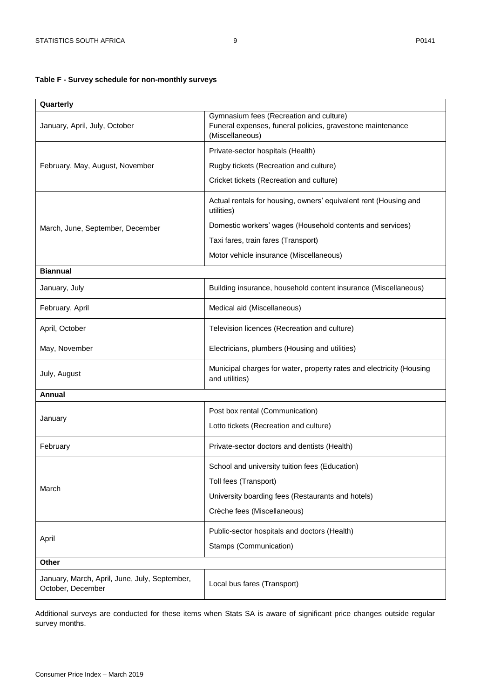# <span id="page-8-0"></span>**Table F - Survey schedule for non-monthly surveys**

| Quarterly                                                          |                                                                                                                          |
|--------------------------------------------------------------------|--------------------------------------------------------------------------------------------------------------------------|
| January, April, July, October                                      | Gymnasium fees (Recreation and culture)<br>Funeral expenses, funeral policies, gravestone maintenance<br>(Miscellaneous) |
|                                                                    | Private-sector hospitals (Health)                                                                                        |
| February, May, August, November                                    | Rugby tickets (Recreation and culture)                                                                                   |
|                                                                    | Cricket tickets (Recreation and culture)                                                                                 |
|                                                                    | Actual rentals for housing, owners' equivalent rent (Housing and<br>utilities)                                           |
| March, June, September, December                                   | Domestic workers' wages (Household contents and services)                                                                |
|                                                                    | Taxi fares, train fares (Transport)                                                                                      |
|                                                                    | Motor vehicle insurance (Miscellaneous)                                                                                  |
| <b>Biannual</b>                                                    |                                                                                                                          |
| January, July                                                      | Building insurance, household content insurance (Miscellaneous)                                                          |
| February, April                                                    | Medical aid (Miscellaneous)                                                                                              |
| April, October                                                     | Television licences (Recreation and culture)                                                                             |
| May, November                                                      | Electricians, plumbers (Housing and utilities)                                                                           |
| July, August                                                       | Municipal charges for water, property rates and electricity (Housing<br>and utilities)                                   |
| Annual                                                             |                                                                                                                          |
|                                                                    | Post box rental (Communication)                                                                                          |
| January                                                            | Lotto tickets (Recreation and culture)                                                                                   |
| February                                                           | Private-sector doctors and dentists (Health)                                                                             |
|                                                                    | School and university tuition fees (Education)                                                                           |
|                                                                    | Toll fees (Transport)                                                                                                    |
| March                                                              | University boarding fees (Restaurants and hotels)                                                                        |
|                                                                    | Crèche fees (Miscellaneous)                                                                                              |
|                                                                    | Public-sector hospitals and doctors (Health)                                                                             |
| April                                                              | Stamps (Communication)                                                                                                   |
| <b>Other</b>                                                       |                                                                                                                          |
| January, March, April, June, July, September,<br>October, December | Local bus fares (Transport)                                                                                              |

Additional surveys are conducted for these items when Stats SA is aware of significant price changes outside regular survey months.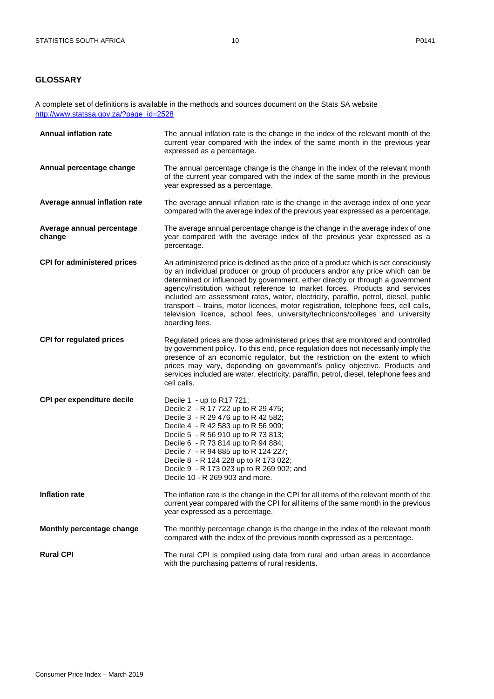## <span id="page-9-0"></span>**GLOSSARY**

A complete set of definitions is available in the methods and sources document on the Stats SA website [http://www.statssa.gov.za/?page\\_id=2528](http://www.statssa.gov.za/?page_id=2528)

| <b>Annual inflation rate</b>        | The annual inflation rate is the change in the index of the relevant month of the<br>current year compared with the index of the same month in the previous year<br>expressed as a percentage.                                                                                                                                                                                                                                                                                                                                                                                                                            |
|-------------------------------------|---------------------------------------------------------------------------------------------------------------------------------------------------------------------------------------------------------------------------------------------------------------------------------------------------------------------------------------------------------------------------------------------------------------------------------------------------------------------------------------------------------------------------------------------------------------------------------------------------------------------------|
| Annual percentage change            | The annual percentage change is the change in the index of the relevant month<br>of the current year compared with the index of the same month in the previous<br>year expressed as a percentage.                                                                                                                                                                                                                                                                                                                                                                                                                         |
| Average annual inflation rate       | The average annual inflation rate is the change in the average index of one year<br>compared with the average index of the previous year expressed as a percentage.                                                                                                                                                                                                                                                                                                                                                                                                                                                       |
| Average annual percentage<br>change | The average annual percentage change is the change in the average index of one<br>year compared with the average index of the previous year expressed as a<br>percentage.                                                                                                                                                                                                                                                                                                                                                                                                                                                 |
| <b>CPI for administered prices</b>  | An administered price is defined as the price of a product which is set consciously<br>by an individual producer or group of producers and/or any price which can be<br>determined or influenced by government, either directly or through a government<br>agency/institution without reference to market forces. Products and services<br>included are assessment rates, water, electricity, paraffin, petrol, diesel, public<br>transport - trains, motor licences, motor registration, telephone fees, cell calls,<br>television licence, school fees, university/technicons/colleges and university<br>boarding fees. |
| <b>CPI for regulated prices</b>     | Regulated prices are those administered prices that are monitored and controlled<br>by government policy. To this end, price regulation does not necessarily imply the<br>presence of an economic regulator, but the restriction on the extent to which<br>prices may vary, depending on government's policy objective. Products and<br>services included are water, electricity, paraffin, petrol, diesel, telephone fees and<br>cell calls.                                                                                                                                                                             |
| CPI per expenditure decile          | Decile 1 - up to R17 721;<br>Decile 2 - R 17 722 up to R 29 475;<br>Decile 3 - R 29 476 up to R 42 582;<br>Decile 4 - R 42 583 up to R 56 909;<br>Decile 5 - R 56 910 up to R 73 813;<br>Decile 6 - R 73 814 up to R 94 884;<br>Decile 7 - R 94 885 up to R 124 227;<br>Decile 8 - R 124 228 up to R 173 022;<br>Decile 9 - R 173 023 up to R 269 902; and<br>Decile 10 - R 269 903 and more.                                                                                                                                                                                                                             |
| <b>Inflation rate</b>               | The inflation rate is the change in the CPI for all items of the relevant month of the<br>current year compared with the CPI for all items of the same month in the previous<br>year expressed as a percentage.                                                                                                                                                                                                                                                                                                                                                                                                           |
| Monthly percentage change           | The monthly percentage change is the change in the index of the relevant month<br>compared with the index of the previous month expressed as a percentage.                                                                                                                                                                                                                                                                                                                                                                                                                                                                |
| <b>Rural CPI</b>                    | The rural CPI is compiled using data from rural and urban areas in accordance<br>with the purchasing patterns of rural residents.                                                                                                                                                                                                                                                                                                                                                                                                                                                                                         |